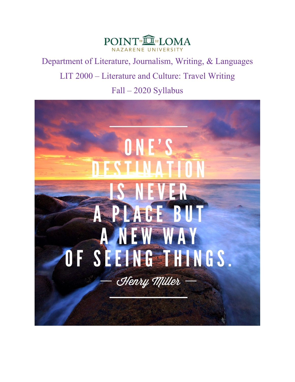

Department of Literature, Journalism, Writing, & Languages LIT 2000 – Literature and Culture: Travel Writing Fall – 2020 Syllabus

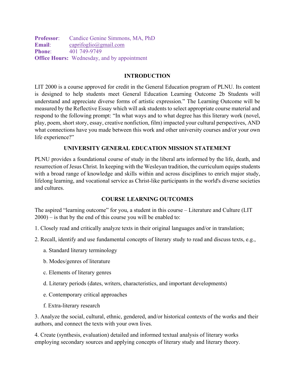**Professor**: Candice Genine Simmons, MA, PhD **Email**: [caprifoglio@gmail.com](mailto:caprifoglio@gmail.com) **Phone:** 401 749-9749 **Office Hours:** Wednesday, and by appointment

# **INTRODUCTION**

LIT 2000 is a course approved for credit in the General Education program of PLNU. Its content is designed to help students meet General Education Learning Outcome 2b Students will understand and appreciate diverse forms of artistic expression." The Learning Outcome will be measured by the Reflective Essay which will ask students to select appropriate course material and respond to the following prompt: "In what ways and to what degree has this literary work (novel, play, poem, short story, essay, creative nonfiction, film) impacted your cultural perspectives, AND what connections have you made between this work and other university courses and/or your own life experience?"

## **UNIVERSITY GENERAL EDUCATION MISSION STATEMENT**

PLNU provides a foundational course of study in the liberal arts informed by the life, death, and resurrection of Jesus Christ. In keeping with the Wesleyan tradition, the curriculum equips students with a broad range of knowledge and skills within and across disciplines to enrich major study, lifelong learning, and vocational service as Christ-like participants in the world's diverse societies and cultures.

# **COURSE LEARNING OUTCOMES**

The aspired "learning outcome" for you, a student in this course – Literature and Culture (LIT 2000) – is that by the end of this course you will be enabled to:

- 1. Closely read and critically analyze texts in their original languages and/or in translation;
- 2. Recall, identify and use fundamental concepts of literary study to read and discuss texts, e.g.,
	- a. Standard literary terminology
	- b. Modes/genres of literature
	- c. Elements of literary genres
	- d. Literary periods (dates, writers, characteristics, and important developments)
	- e. Contemporary critical approaches
	- f. Extra-literary research

3. Analyze the social, cultural, ethnic, gendered, and/or historical contexts of the works and their authors, and connect the texts with your own lives.

4. Create (synthesis, evaluation) detailed and informed textual analysis of literary works employing secondary sources and applying concepts of literary study and literary theory.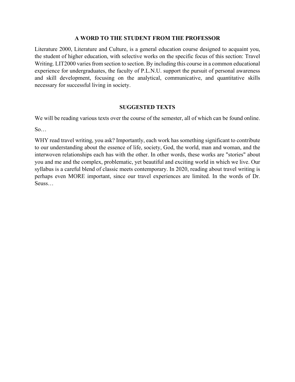#### **A WORD TO THE STUDENT FROM THE PROFESSOR**

Literature 2000, Literature and Culture, is a general education course designed to acquaint you, the student of higher education, with selective works on the specific focus of this section: Travel Writing. LIT2000 varies from section to section. By including this course in a common educational experience for undergraduates, the faculty of P.L.N.U. support the pursuit of personal awareness and skill development, focusing on the analytical, communicative, and quantitative skills necessary for successful living in society.

### **SUGGESTED TEXTS**

We will be reading various texts over the course of the semester, all of which can be found online.

 $So...$ 

WHY read travel writing, you ask? Importantly, each work has something significant to contribute to our understanding about the essence of life, society, God, the world, man and woman, and the interwoven relationships each has with the other. In other words, these works are "stories" about you and me and the complex, problematic, yet beautiful and exciting world in which we live. Our syllabus is a careful blend of classic meets contemporary. In 2020, reading about travel writing is perhaps even MORE important, since our travel experiences are limited. In the words of Dr. Seuss…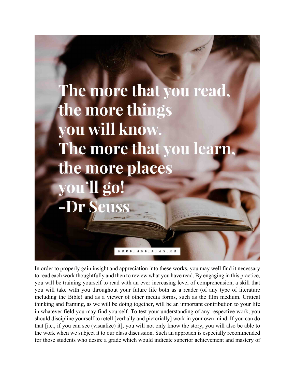

In order to properly gain insight and appreciation into these works, you may well find it necessary to read each work thoughtfully and then to review what you have read. By engaging in this practice, you will be training yourself to read with an ever increasing level of comprehension, a skill that you will take with you throughout your future life both as a reader (of any type of literature including the Bible) and as a viewer of other media forms, such as the film medium. Critical thinking and framing, as we will be doing together, will be an important contribution to your life in whatever field you may find yourself. To test your understanding of any respective work, you should discipline yourself to retell [verbally and pictorially] work in your own mind. If you can do that [i.e., if you can see (visualize) it], you will not only know the story, you will also be able to the work when we subject it to our class discussion. Such an approach is especially recommended for those students who desire a grade which would indicate superior achievement and mastery of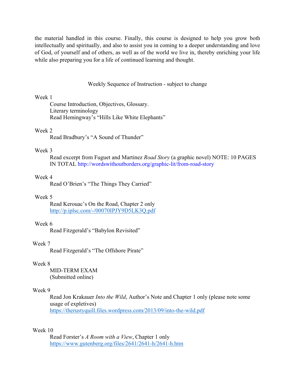the material handled in this course. Finally, this course is designed to help you grow both intellectually and spiritually, and also to assist you in coming to a deeper understanding and love of God, of yourself and of others, as well as of the world we live in, thereby enriching your life while also preparing you for a life of continued learning and thought.

Weekly Sequence of Instruction - subject to change

#### Week 1

Course Introduction, Objectives, Glossary. Literary terminology Read Hemingway's "Hills Like White Elephants"

#### Week 2

Read Bradbury's "A Sound of Thunder"

#### Week 3

Read excerpt from Fuguet and Martinez *Road Story* (a graphic novel) NOTE: 10 PAGES IN TOTAL<http://wordswithoutborders.org/graphic-lit/from-road-story>

### Week 4

Read O'Brien's "The Things They Carried"

#### Week 5

Read Kerouac's On the Road, Chapter 2 only <http://p.iplsc.com/-/00070IPJY9D5LK3Q.pdf>

#### Week 6

Read Fitzgerald's "Babylon Revisited"

#### Week 7

Read Fitzgerald's "The Offshore Pirate"

#### Week 8

MID-TERM EXAM (Submitted online)

#### Week 9

Read Jon Krakauer *Into the Wild*, Author's Note and Chapter 1 only (please note some usage of expletives) <https://therustyquill.files.wordpress.com/2013/09/into-the-wild.pdf>

## Week 10

Read Forster's *A Room with a View*, Chapter 1 only <https://www.gutenberg.org/files/2641/2641-h/2641-h.htm>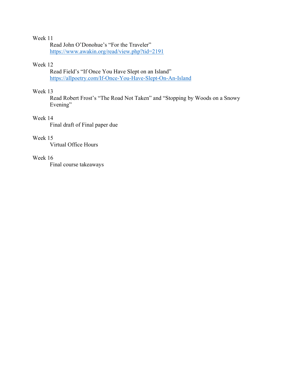# Week 11

Read John O'Donohue's "For the Traveler" <https://www.awakin.org/read/view.php?tid=2191>

# Week 12

Read Field's "If Once You Have Slept on an Island" <https://allpoetry.com/If-Once-You-Have-Slept-On-An-Island>

## Week 13

Read Robert Frost's "The Road Not Taken" and "Stopping by Woods on a Snowy Evening"

# Week 14

Final draft of Final paper due

#### Week 15

Virtual Office Hours

# Week 16

Final course takeaways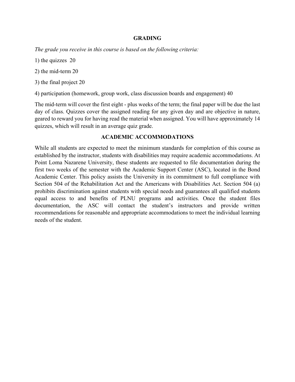### **GRADING**

*The grade you receive in this course is based on the following criteria:* 

- 1) the quizzes 20
- 2) the mid-term 20
- 3) the final project 20
- 4) participation (homework, group work, class discussion boards and engagement) 40

The mid-term will cover the first eight - plus weeks of the term; the final paper will be due the last day of class. Quizzes cover the assigned reading for any given day and are objective in nature, geared to reward you for having read the material when assigned. You will have approximately 14 quizzes, which will result in an average quiz grade.

## **ACADEMIC ACCOMMODATIONS**

While all students are expected to meet the minimum standards for completion of this course as established by the instructor, students with disabilities may require academic accommodations. At Point Loma Nazarene University, these students are requested to file documentation during the first two weeks of the semester with the Academic Support Center (ASC), located in the Bond Academic Center. This policy assists the University in its commitment to full compliance with Section 504 of the Rehabilitation Act and the Americans with Disabilities Act. Section 504 (a) prohibits discrimination against students with special needs and guarantees all qualified students equal access to and benefits of PLNU programs and activities. Once the student files documentation, the ASC will contact the student's instructors and provide written recommendations for reasonable and appropriate accommodations to meet the individual learning needs of the student.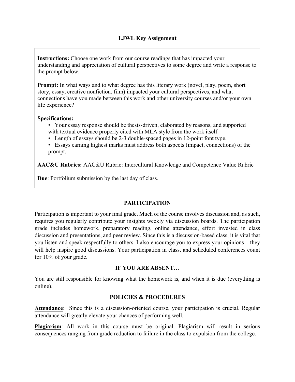**Instructions:** Choose one work from our course readings that has impacted your understanding and appreciation of cultural perspectives to some degree and write a response to the prompt below.

**Prompt:** In what ways and to what degree has this literary work (novel, play, poem, short story, essay, creative nonfiction, film) impacted your cultural perspectives, and what connections have you made between this work and other university courses and/or your own life experience?

## **Specifications:**

- Your essay response should be thesis-driven, elaborated by reasons, and supported with textual evidence properly cited with MLA style from the work itself.
- Length of essays should be 2-3 double-spaced pages in 12-point font type.
- Essays earning highest marks must address both aspects (impact, connections) of the prompt.

**AAC&U Rubrics:** AAC&U Rubric: Intercultural Knowledge and Competence Value Rubric

**Due**: Portfolium submission by the last day of class.

# **PARTICIPATION**

Participation is important to your final grade. Much of the course involves discussion and, as such, requires you regularly contribute your insights weekly via discussion boards. The participation grade includes homework, preparatory reading, online attendance, effort invested in class discussion and presentations, and peer review. Since this is a discussion-based class, it is vital that you listen and speak respectfully to others. I also encourage you to express your opinions – they will help inspire good discussions. Your participation in class, and scheduled conferences count for 10% of your grade.

# **IF YOU ARE ABSENT**…

You are still responsible for knowing what the homework is, and when it is due (everything is online).

### **POLICIES & PROCEDURES**

**Attendance**: Since this is a discussion-oriented course, your participation is crucial. Regular attendance will greatly elevate your chances of performing well.

**Plagiarism**: All work in this course must be original. Plagiarism will result in serious consequences ranging from grade reduction to failure in the class to expulsion from the college.